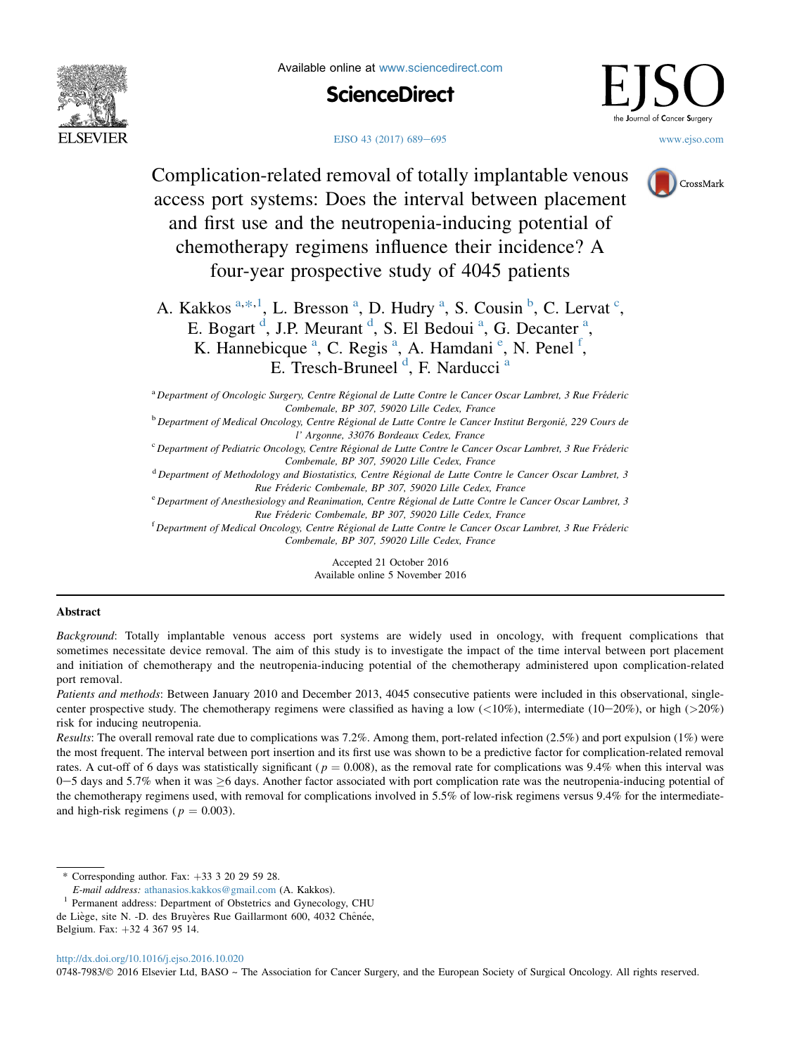





-<br>ournal of **C**ancer **S**urgery

[EJSO 43 \(2017\) 689](http://dx.doi.org/10.1016/j.ejso.2016.10.020)–[695](http://dx.doi.org/10.1016/j.ejso.2016.10.020) [www.ejso.com](http://www.ejso.com)

CrossMark

Complication-related removal of totally implantable venous access port systems: Does the interval between placement and first use and the neutropenia-inducing potential of chemotherapy regimens influence their incidence? A four-year prospective study of 4045 patients

A. Kakkos <sup>a,\*,1</sup>, L. Bresson <sup>a</sup>, D. Hudry <sup>a</sup>, S. Cousin <sup>b</sup>, C. Lervat <sup>c</sup>, E. Bogart<sup>d</sup>, J.P. Meurant<sup>d</sup>, S. El Bedoui<sup>a</sup>, G. Decanter<sup>a</sup>, K. Hannebicque<sup>a</sup>, C. Regis<sup>a</sup>, A. Hamdani<sup>e</sup>, N. Penel<sup>f</sup>, E. Tresch-Bruneel<sup>d</sup>, F. Narducci<sup>a</sup>

<sup>a</sup> Department of Oncologic Surgery, Centre Regional de Lutte Contre le Cancer Oscar Lambret, 3 Rue Frederic Combemale, BP 307, 59020 Lille Cedex, France

<sup>b</sup> Department of Medical Oncology, Centre Régional de Lutte Contre le Cancer Institut Bergonié, 229 Cours de l' Argonne, 33076 Bordeaux Cedex, France

<sup>c</sup> Department of Pediatric Oncology, Centre Régional de Lutte Contre le Cancer Oscar Lambret, 3 Rue Fréderic Combemale, BP 307, 59020 Lille Cedex, France

 $d$  Department of Methodology and Biostatistics, Centre Régional de Lutte Contre le Cancer Oscar Lambret, 3

Rue Fréderic Combemale, BP 307, 59020 Lille Cedex, France<br><sup>e</sup> Department of Anesthesiology and Reanimation, Centre Régional de Lutte Contre le Cancer Oscar Lambret, 3<sup>e</sup>

Rue Fréderic Combemale, BP 307, 59020 Lille Cedex, France<br><sup>f</sup> Department of Medical Oncology, Centre Régional de Lutte Contre le Cancer Oscar Lambret, 3 Rue Fréderic Combemale, BP 307, 59020 Lille Cedex, France

> Accepted 21 October 2016 Available online 5 November 2016

# Abstract

Background: Totally implantable venous access port systems are widely used in oncology, with frequent complications that sometimes necessitate device removal. The aim of this study is to investigate the impact of the time interval between port placement and initiation of chemotherapy and the neutropenia-inducing potential of the chemotherapy administered upon complication-related port removal.

Patients and methods: Between January 2010 and December 2013, 4045 consecutive patients were included in this observational, singlecenter prospective study. The chemotherapy regimens were classified as having a low  $\langle$  (10%), intermediate (10–20%), or high (>20%) risk for inducing neutropenia.

Results: The overall removal rate due to complications was 7.2%. Among them, port-related infection (2.5%) and port expulsion (1%) were the most frequent. The interval between port insertion and its first use was shown to be a predictive factor for complication-related removal rates. A cut-off of 6 days was statistically significant ( $p = 0.008$ ), as the removal rate for complications was 9.4% when this interval was 0–5 days and 5.7% when it was  $\geq$ 6 days. Another factor associated with port complication rate was the neutropenia-inducing potential of the chemotherapy regimens used, with removal for complications involved in 5.5% of low-risk regimens versus 9.4% for the intermediateand high-risk regimens ( $p = 0.003$ ).

Belgium. Fax: +32 4 367 95 14.

<http://dx.doi.org/10.1016/j.ejso.2016.10.020>

0748-7983/© 2016 Elsevier Ltd, BASO ~ The Association for Cancer Surgery, and the European Society of Surgical Oncology. All rights reserved.

<sup>\*</sup> Corresponding author. Fax:  $+33$  3 20 29 59 28.

E-mail address: [athanasios.kakkos@gmail.com](mailto:athanasios.kakkos@gmail.com) (A. Kakkos).

<sup>&</sup>lt;sup>1</sup> Permanent address: Department of Obstetrics and Gynecology, CHU

de Liège, site N. -D. des Bruyères Rue Gaillarmont 600, 4032 Chênée,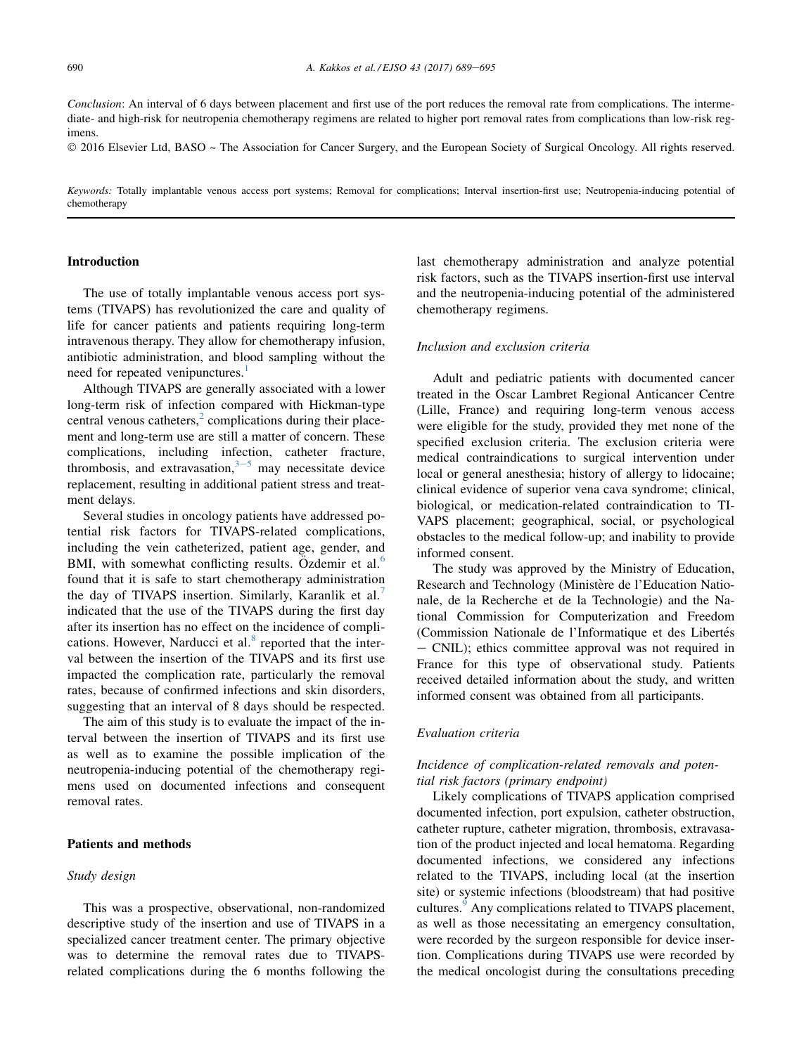Conclusion: An interval of 6 days between placement and first use of the port reduces the removal rate from complications. The intermediate- and high-risk for neutropenia chemotherapy regimens are related to higher port removal rates from complications than low-risk regimens.

2016 Elsevier Ltd, BASO ~ The Association for Cancer Surgery, and the European Society of Surgical Oncology. All rights reserved.

Keywords: Totally implantable venous access port systems; Removal for complications; Interval insertion-first use; Neutropenia-inducing potential of chemotherapy

# Introduction

The use of totally implantable venous access port systems (TIVAPS) has revolutionized the care and quality of life for cancer patients and patients requiring long-term intravenous therapy. They allow for chemotherapy infusion, antibiotic administration, and blood sampling without the need for repeated venipunctures.<sup>[1](#page-6-0)</sup>

Although TIVAPS are generally associated with a lower long-term risk of infection compared with Hickman-type central venous catheters, $\frac{2}{3}$  $\frac{2}{3}$  $\frac{2}{3}$  complications during their placement and long-term use are still a matter of concern. These complications, including infection, catheter fracture, thrombosis, and extravasation,  $3-5$  $3-5$  $3-5$  may necessitate device replacement, resulting in additional patient stress and treatment delays.

Several studies in oncology patients have addressed potential risk factors for TIVAPS-related complications, including the vein catheterized, patient age, gender, and BMI, with somewhat conflicting results. Ozdemir et al. $<sup>6</sup>$  $<sup>6</sup>$  $<sup>6</sup>$ </sup> found that it is safe to start chemotherapy administration the day of TIVAPS insertion. Similarly, Karanlik et al.<sup>[7](#page-6-0)</sup> indicated that the use of the TIVAPS during the first day after its insertion has no effect on the incidence of compli-cations. However, Narducci et al.<sup>[8](#page-6-0)</sup> reported that the interval between the insertion of the TIVAPS and its first use impacted the complication rate, particularly the removal rates, because of confirmed infections and skin disorders, suggesting that an interval of 8 days should be respected.

The aim of this study is to evaluate the impact of the interval between the insertion of TIVAPS and its first use as well as to examine the possible implication of the neutropenia-inducing potential of the chemotherapy regimens used on documented infections and consequent removal rates.

# Patients and methods

## Study design

This was a prospective, observational, non-randomized descriptive study of the insertion and use of TIVAPS in a specialized cancer treatment center. The primary objective was to determine the removal rates due to TIVAPSrelated complications during the 6 months following the

last chemotherapy administration and analyze potential risk factors, such as the TIVAPS insertion-first use interval and the neutropenia-inducing potential of the administered chemotherapy regimens.

#### Inclusion and exclusion criteria

Adult and pediatric patients with documented cancer treated in the Oscar Lambret Regional Anticancer Centre (Lille, France) and requiring long-term venous access were eligible for the study, provided they met none of the specified exclusion criteria. The exclusion criteria were medical contraindications to surgical intervention under local or general anesthesia; history of allergy to lidocaine; clinical evidence of superior vena cava syndrome; clinical, biological, or medication-related contraindication to TI-VAPS placement; geographical, social, or psychological obstacles to the medical follow-up; and inability to provide informed consent.

The study was approved by the Ministry of Education, Research and Technology (Ministère de l'Education Nationale, de la Recherche et de la Technologie) and the National Commission for Computerization and Freedom (Commission Nationale de l'Informatique et des Libertés - CNIL); ethics committee approval was not required in France for this type of observational study. Patients received detailed information about the study, and written informed consent was obtained from all participants.

#### Evaluation criteria

## Incidence of complication-related removals and potential risk factors (primary endpoint)

Likely complications of TIVAPS application comprised documented infection, port expulsion, catheter obstruction, catheter rupture, catheter migration, thrombosis, extravasation of the product injected and local hematoma. Regarding documented infections, we considered any infections related to the TIVAPS, including local (at the insertion site) or systemic infections (bloodstream) that had positive cultures.<sup>[9](#page-6-0)</sup> Any complications related to TIVAPS placement, as well as those necessitating an emergency consultation, were recorded by the surgeon responsible for device insertion. Complications during TIVAPS use were recorded by the medical oncologist during the consultations preceding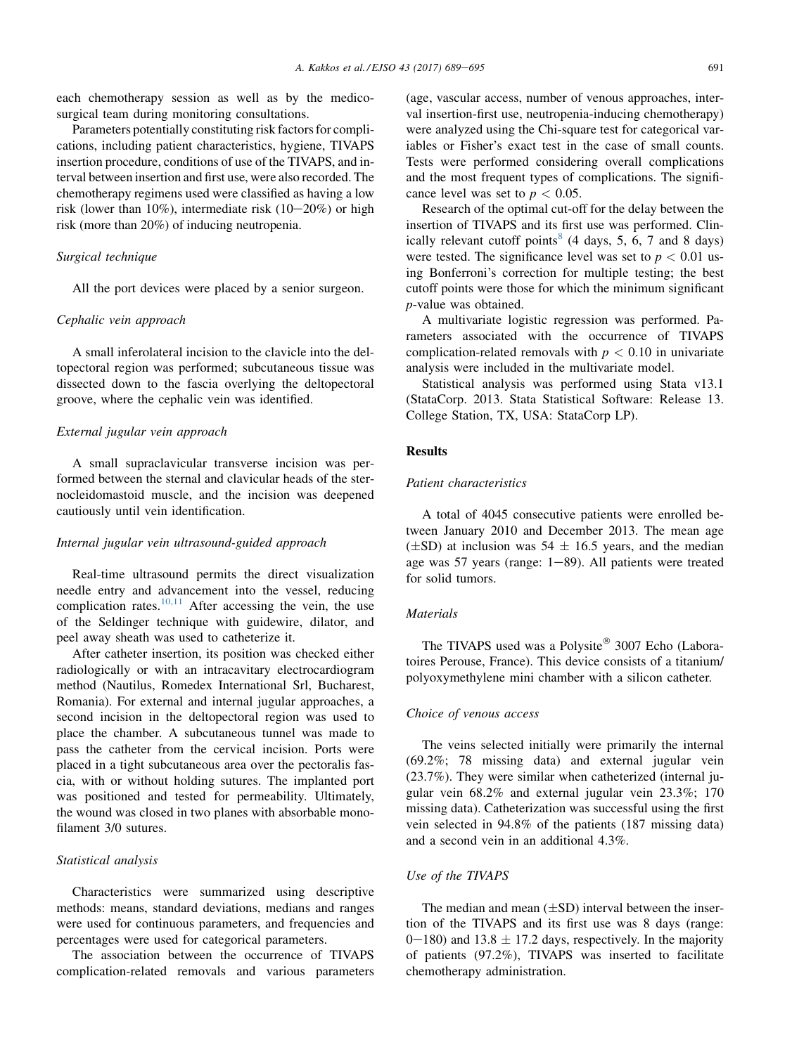each chemotherapy session as well as by the medicosurgical team during monitoring consultations.

Parameters potentially constituting risk factors for complications, including patient characteristics, hygiene, TIVAPS insertion procedure, conditions of use of the TIVAPS, and interval between insertion and first use, were also recorded. The chemotherapy regimens used were classified as having a low risk (lower than 10%), intermediate risk  $(10-20%)$  or high risk (more than 20%) of inducing neutropenia.

### Surgical technique

All the port devices were placed by a senior surgeon.

## Cephalic vein approach

A small inferolateral incision to the clavicle into the deltopectoral region was performed; subcutaneous tissue was dissected down to the fascia overlying the deltopectoral groove, where the cephalic vein was identified.

## External jugular vein approach

A small supraclavicular transverse incision was performed between the sternal and clavicular heads of the sternocleidomastoid muscle, and the incision was deepened cautiously until vein identification.

## Internal jugular vein ultrasound-guided approach

Real-time ultrasound permits the direct visualization needle entry and advancement into the vessel, reducing complication rates.<sup>[10,11](#page-6-0)</sup> After accessing the vein, the use of the Seldinger technique with guidewire, dilator, and peel away sheath was used to catheterize it.

After catheter insertion, its position was checked either radiologically or with an intracavitary electrocardiogram method (Nautilus, Romedex International Srl, Bucharest, Romania). For external and internal jugular approaches, a second incision in the deltopectoral region was used to place the chamber. A subcutaneous tunnel was made to pass the catheter from the cervical incision. Ports were placed in a tight subcutaneous area over the pectoralis fascia, with or without holding sutures. The implanted port was positioned and tested for permeability. Ultimately, the wound was closed in two planes with absorbable monofilament 3/0 sutures.

## Statistical analysis

Characteristics were summarized using descriptive methods: means, standard deviations, medians and ranges were used for continuous parameters, and frequencies and percentages were used for categorical parameters.

The association between the occurrence of TIVAPS complication-related removals and various parameters (age, vascular access, number of venous approaches, interval insertion-first use, neutropenia-inducing chemotherapy) were analyzed using the Chi-square test for categorical variables or Fisher's exact test in the case of small counts. Tests were performed considering overall complications and the most frequent types of complications. The significance level was set to  $p < 0.05$ .

Research of the optimal cut-off for the delay between the insertion of TIVAPS and its first use was performed. Clin-ically relevant cutoff points<sup>[8](#page-6-0)</sup>  $(4 \text{ days}, 5, 6, 7 \text{ and } 8 \text{ days})$ were tested. The significance level was set to  $p < 0.01$  using Bonferroni's correction for multiple testing; the best cutoff points were those for which the minimum significant p-value was obtained.

A multivariate logistic regression was performed. Parameters associated with the occurrence of TIVAPS complication-related removals with  $p < 0.10$  in univariate analysis were included in the multivariate model.

Statistical analysis was performed using Stata v13.1 (StataCorp. 2013. Stata Statistical Software: Release 13. College Station, TX, USA: StataCorp LP).

## Results

## Patient characteristics

A total of 4045 consecutive patients were enrolled between January 2010 and December 2013. The mean age  $(\pm SD)$  at inclusion was 54  $\pm$  16.5 years, and the median age was 57 years (range:  $1-89$ ). All patients were treated for solid tumors.

## **Materials**

The TIVAPS used was a Polysite<sup>®</sup> 3007 Echo (Laboratoires Perouse, France). This device consists of a titanium/ polyoxymethylene mini chamber with a silicon catheter.

#### Choice of venous access

The veins selected initially were primarily the internal (69.2%; 78 missing data) and external jugular vein (23.7%). They were similar when catheterized (internal jugular vein 68.2% and external jugular vein 23.3%; 170 missing data). Catheterization was successful using the first vein selected in 94.8% of the patients (187 missing data) and a second vein in an additional 4.3%.

# Use of the TIVAPS

The median and mean  $(\pm SD)$  interval between the insertion of the TIVAPS and its first use was 8 days (range: 0–180) and 13.8  $\pm$  17.2 days, respectively. In the majority of patients (97.2%), TIVAPS was inserted to facilitate chemotherapy administration.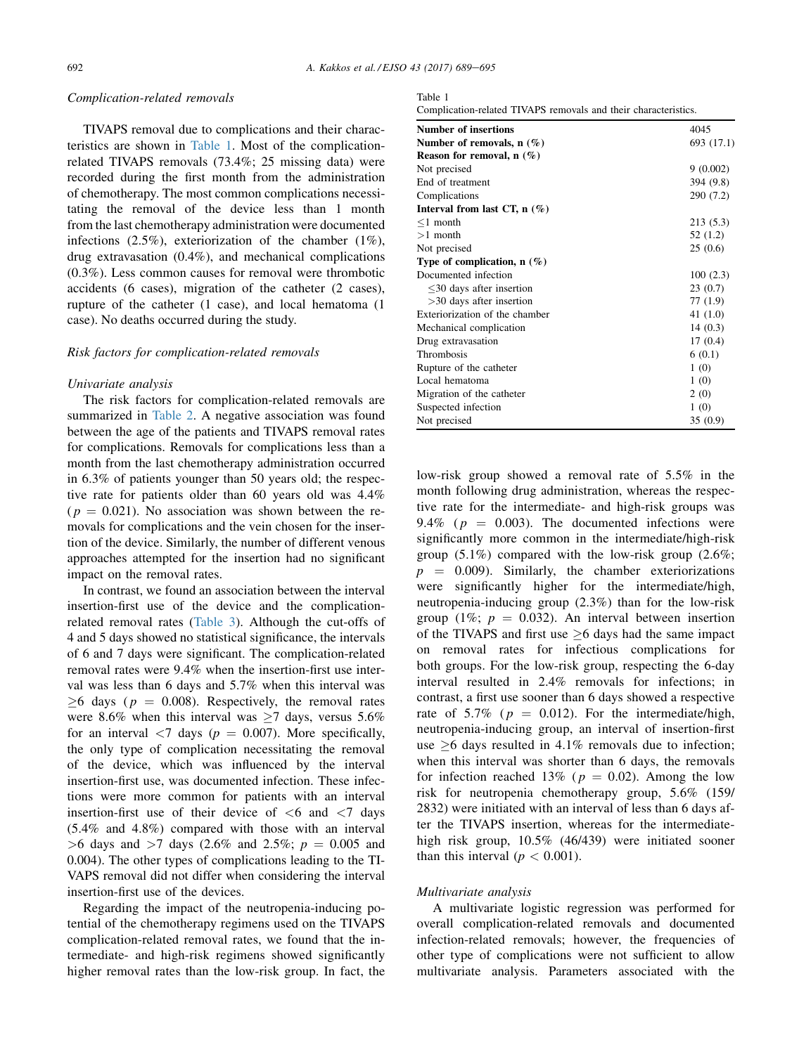### Complication-related removals

TIVAPS removal due to complications and their characteristics are shown in Table 1. Most of the complicationrelated TIVAPS removals (73.4%; 25 missing data) were recorded during the first month from the administration of chemotherapy. The most common complications necessitating the removal of the device less than 1 month from the last chemotherapy administration were documented infections  $(2.5\%)$ , exteriorization of the chamber  $(1\%)$ . drug extravasation (0.4%), and mechanical complications (0.3%). Less common causes for removal were thrombotic accidents (6 cases), migration of the catheter (2 cases), rupture of the catheter (1 case), and local hematoma (1 case). No deaths occurred during the study.

## Risk factors for complication-related removals

#### Univariate analysis

The risk factors for complication-related removals are summarized in [Table 2](#page-4-0). A negative association was found between the age of the patients and TIVAPS removal rates for complications. Removals for complications less than a month from the last chemotherapy administration occurred in 6.3% of patients younger than 50 years old; the respective rate for patients older than 60 years old was 4.4%  $(p = 0.021)$ . No association was shown between the removals for complications and the vein chosen for the insertion of the device. Similarly, the number of different venous approaches attempted for the insertion had no significant impact on the removal rates.

In contrast, we found an association between the interval insertion-first use of the device and the complicationrelated removal rates ([Table 3](#page-4-0)). Although the cut-offs of 4 and 5 days showed no statistical significance, the intervals of 6 and 7 days were significant. The complication-related removal rates were 9.4% when the insertion-first use interval was less than 6 days and 5.7% when this interval was  $\geq 6$  days ( $p = 0.008$ ). Respectively, the removal rates were 8.6% when this interval was  $\geq$ 7 days, versus 5.6% for an interval  $\langle 7 \rangle$  days ( $p = 0.007$ ). More specifically, the only type of complication necessitating the removal of the device, which was influenced by the interval insertion-first use, was documented infection. These infections were more common for patients with an interval insertion-first use of their device of  $\lt 6$  and  $\lt 7$  days (5.4% and 4.8%) compared with those with an interval  $>6$  days and  $>7$  days (2.6% and 2.5%;  $p = 0.005$  and 0.004). The other types of complications leading to the TI-VAPS removal did not differ when considering the interval insertion-first use of the devices.

Regarding the impact of the neutropenia-inducing potential of the chemotherapy regimens used on the TIVAPS complication-related removal rates, we found that the intermediate- and high-risk regimens showed significantly higher removal rates than the low-risk group. In fact, the

| Complication-related TIVAPS removals and their characteristics. |  |  |  |  |  |
|-----------------------------------------------------------------|--|--|--|--|--|
|-----------------------------------------------------------------|--|--|--|--|--|

| <b>Number of insertions</b>    | 4045       |  |  |  |
|--------------------------------|------------|--|--|--|
| Number of removals, $n(\%)$    | 693 (17.1) |  |  |  |
| Reason for removal, $n(\%)$    |            |  |  |  |
| Not precised                   | 9(0.002)   |  |  |  |
| End of treatment               | 394 (9.8)  |  |  |  |
| Complications                  | 290 (7.2)  |  |  |  |
| Interval from last CT, $n$ (%) |            |  |  |  |
| $\leq 1$ month                 | 213 (5.3)  |  |  |  |
| $>1$ month                     | 52(1.2)    |  |  |  |
| Not precised                   | 25(0.6)    |  |  |  |
| Type of complication, $n$ (%)  |            |  |  |  |
| Documented infection           | 100(2.3)   |  |  |  |
| $\leq$ 30 days after insertion | 23(0.7)    |  |  |  |
| $>30$ days after insertion     | 77 (1.9)   |  |  |  |
| Exteriorization of the chamber | 41 $(1.0)$ |  |  |  |
| Mechanical complication        | 14(0.3)    |  |  |  |
| Drug extravasation             | 17(0.4)    |  |  |  |
| Thrombosis                     | 6(0.1)     |  |  |  |
| Rupture of the catheter        | 1(0)       |  |  |  |
| Local hematoma                 | 1(0)       |  |  |  |
| Migration of the catheter      | 2(0)       |  |  |  |
| Suspected infection            | 1(0)       |  |  |  |
| Not precised                   | 35(0.9)    |  |  |  |

low-risk group showed a removal rate of 5.5% in the month following drug administration, whereas the respective rate for the intermediate- and high-risk groups was 9.4% ( $p = 0.003$ ). The documented infections were significantly more common in the intermediate/high-risk group  $(5.1\%)$  compared with the low-risk group  $(2.6\%;$  $p = 0.009$ . Similarly, the chamber exteriorizations were significantly higher for the intermediate/high, neutropenia-inducing group (2.3%) than for the low-risk group (1%;  $p = 0.032$ ). An interval between insertion of the TIVAPS and first use  $\geq 6$  days had the same impact on removal rates for infectious complications for both groups. For the low-risk group, respecting the 6-day interval resulted in 2.4% removals for infections; in contrast, a first use sooner than 6 days showed a respective rate of 5.7% ( $p = 0.012$ ). For the intermediate/high, neutropenia-inducing group, an interval of insertion-first use  $\geq 6$  days resulted in 4.1% removals due to infection; when this interval was shorter than 6 days, the removals for infection reached 13% ( $p = 0.02$ ). Among the low risk for neutropenia chemotherapy group, 5.6% (159/ 2832) were initiated with an interval of less than 6 days after the TIVAPS insertion, whereas for the intermediatehigh risk group, 10.5% (46/439) were initiated sooner than this interval ( $p < 0.001$ ).

#### Multivariate analysis

A multivariate logistic regression was performed for overall complication-related removals and documented infection-related removals; however, the frequencies of other type of complications were not sufficient to allow multivariate analysis. Parameters associated with the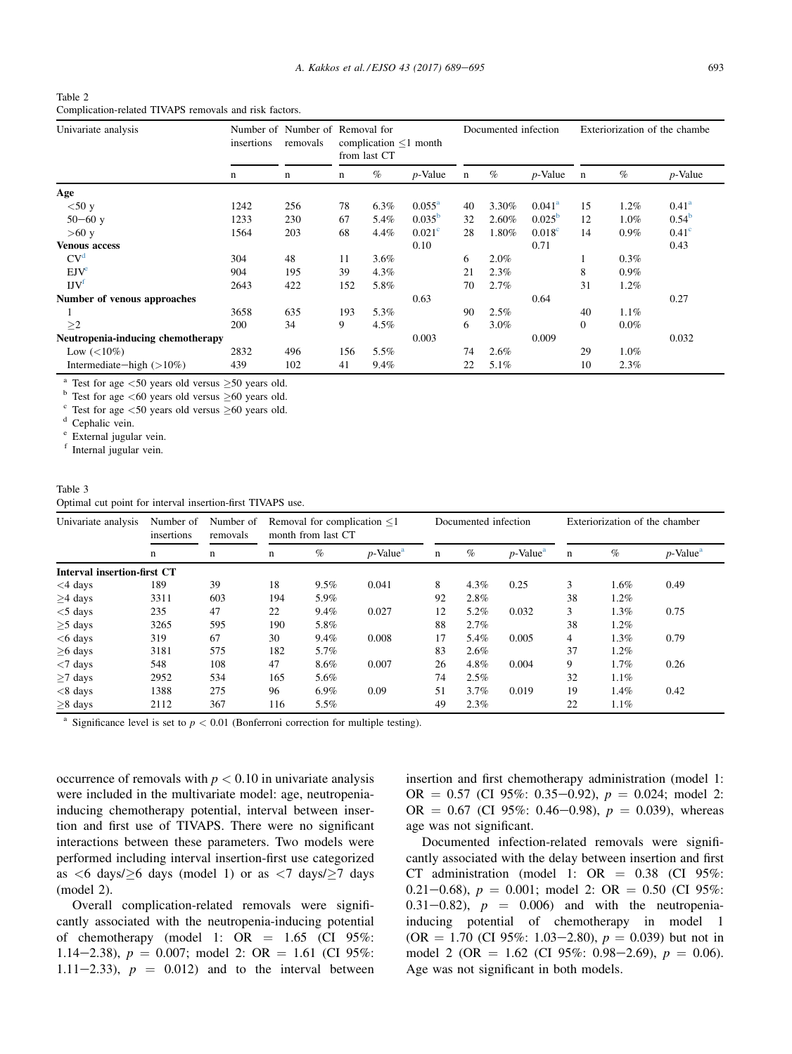<span id="page-4-0"></span>

| Table 2                                                |  |  |  |
|--------------------------------------------------------|--|--|--|
| Complication-related TIVAPS removals and risk factors. |  |  |  |

| Univariate analysis               | insertions | removals<br>n | Number of Number of Removal for<br>complication $\leq 1$ month<br>from last CT |      |                    | Documented infection |         |                    | Exteriorization of the chambe |         |                   |
|-----------------------------------|------------|---------------|--------------------------------------------------------------------------------|------|--------------------|----------------------|---------|--------------------|-------------------------------|---------|-------------------|
|                                   | n          |               | n                                                                              | $\%$ | $p$ -Value         | $\mathbf n$          | $\%$    | $p$ -Value         | n                             | $\%$    | $p$ -Value        |
| Age                               |            |               |                                                                                |      |                    |                      |         |                    |                               |         |                   |
| $<$ 50 y                          | 1242       | 256           | 78                                                                             | 6.3% | $0.055^{\rm a}$    | 40                   | 3.30%   | $0.041^a$          | 15                            | 1.2%    | $0.41^{\rm a}$    |
| $50 - 60$ y                       | 1233       | 230           | 67                                                                             | 5.4% | $0.035^{b}$        | 32                   | 2.60%   | $0.025^{b}$        | 12                            | 1.0%    | $0.54^{b}$        |
| >60 y                             | 1564       | 203           | 68                                                                             | 4.4% | 0.021 <sup>c</sup> | 28                   | 1.80%   | 0.018 <sup>c</sup> | 14                            | $0.9\%$ | 0.41 <sup>c</sup> |
| <b>Venous access</b>              |            |               |                                                                                |      | 0.10               |                      |         | 0.71               |                               |         | 0.43              |
| CV <sup>d</sup>                   | 304        | 48            | 11                                                                             | 3.6% |                    | 6                    | 2.0%    |                    |                               | 0.3%    |                   |
| $EJV^e$                           | 904        | 195           | 39                                                                             | 4.3% |                    | 21                   | 2.3%    |                    | 8                             | 0.9%    |                   |
| $\text{UV}^{\text{f}}$            | 2643       | 422           | 152                                                                            | 5.8% |                    | 70                   | 2.7%    |                    | 31                            | 1.2%    |                   |
| Number of venous approaches       |            |               |                                                                                |      | 0.63               |                      |         | 0.64               |                               |         | 0.27              |
|                                   | 3658       | 635           | 193                                                                            | 5.3% |                    | 90                   | 2.5%    |                    | 40                            | 1.1%    |                   |
| >2                                | 200        | 34            | 9                                                                              | 4.5% |                    | 6                    | $3.0\%$ |                    | $\Omega$                      | $0.0\%$ |                   |
| Neutropenia-inducing chemotherapy |            |               |                                                                                |      | 0.003              |                      |         | 0.009              |                               |         | 0.032             |
| Low $(< 10\%)$                    | 2832       | 496           | 156                                                                            | 5.5% |                    | 74                   | 2.6%    |                    | 29                            | 1.0%    |                   |
| Intermediate—high $(>10\%)$       | 439        | 102           | 41                                                                             | 9.4% |                    | 22                   | 5.1%    |                    | 10                            | 2.3%    |                   |

<sup>a</sup> Test for age <50 years old versus  $\geq$ 50 years old.

Test for age  $\leq 60$  years old versus  $\geq 60$  years old. <sup>6</sup> Test for age <60 years old versus  $\geq$ 60 years old.<br><sup>c</sup> Test for age <50 years old versus  $\geq$ 60 years old.

 $\sigma$ <sup>d</sup> Cephalic vein.<br>
<sup>e</sup> External jugular vein.

f Internal jugular vein.

## Table 3

Optimal cut point for interval insertion-first TIVAPS use.

| Univariate analysis                | Number of<br>insertions | Number of<br>removals<br>n | Removal for complication $\leq 1$<br>month from last CT |         |                         |             | Documented infection |                         |    | Exteriorization of the chamber |                         |  |
|------------------------------------|-------------------------|----------------------------|---------------------------------------------------------|---------|-------------------------|-------------|----------------------|-------------------------|----|--------------------------------|-------------------------|--|
|                                    | n                       |                            | n                                                       | $\%$    | $p$ -Value <sup>a</sup> | $\mathbf n$ | $\%$                 | $p$ -Value <sup>a</sup> | n  | $\%$                           | $p$ -Value <sup>a</sup> |  |
| <b>Interval insertion-first CT</b> |                         |                            |                                                         |         |                         |             |                      |                         |    |                                |                         |  |
| $<$ 4 days                         | 189                     | 39                         | 18                                                      | 9.5%    | 0.041                   | 8           | 4.3%                 | 0.25                    | 3  | 1.6%                           | 0.49                    |  |
| $>4$ days                          | 3311                    | 603                        | 194                                                     | 5.9%    |                         | 92          | 2.8%                 |                         | 38 | 1.2%                           |                         |  |
| $<$ 5 days                         | 235                     | 47                         | 22                                                      | 9.4%    | 0.027                   | 12          | 5.2%                 | 0.032                   | 3  | 1.3%                           | 0.75                    |  |
| $>5$ days                          | 3265                    | 595                        | 190                                                     | 5.8%    |                         | 88          | 2.7%                 |                         | 38 | 1.2%                           |                         |  |
| $<$ 6 days                         | 319                     | 67                         | 30                                                      | 9.4%    | 0.008                   | 17          | 5.4%                 | 0.005                   | 4  | $1.3\%$                        | 0.79                    |  |
| $>6$ days                          | 3181                    | 575                        | 182                                                     | 5.7%    |                         | 83          | 2.6%                 |                         | 37 | 1.2%                           |                         |  |
| $<$ 7 days                         | 548                     | 108                        | 47                                                      | 8.6%    | 0.007                   | 26          | 4.8%                 | 0.004                   | 9  | 1.7%                           | 0.26                    |  |
| $>7$ days                          | 2952                    | 534                        | 165                                                     | 5.6%    |                         | 74          | 2.5%                 |                         | 32 | 1.1%                           |                         |  |
| $< 8$ days                         | 1388                    | 275                        | 96                                                      | $6.9\%$ | 0.09                    | 51          | 3.7%                 | 0.019                   | 19 | 1.4%                           | 0.42                    |  |
| $>8$ days                          | 2112                    | 367                        | 116                                                     | 5.5%    |                         | 49          | 2.3%                 |                         | 22 | 1.1%                           |                         |  |

<sup>a</sup> Significance level is set to  $p < 0.01$  (Bonferroni correction for multiple testing).

occurrence of removals with  $p < 0.10$  in univariate analysis were included in the multivariate model: age, neutropeniainducing chemotherapy potential, interval between insertion and first use of TIVAPS. There were no significant interactions between these parameters. Two models were performed including interval insertion-first use categorized as  $\lt 6$  days/ $\geq 6$  days (model 1) or as  $\lt 7$  days/ $\geq 7$  days (model 2).

Overall complication-related removals were significantly associated with the neutropenia-inducing potential of chemotherapy (model 1:  $OR = 1.65$  (CI 95%: 1.14-2.38),  $p = 0.007$ ; model 2: OR = 1.61 (CI 95%: 1.11–2.33),  $p = 0.012$  and to the interval between insertion and first chemotherapy administration (model 1: OR =  $0.57$  (CI 95%: 0.35-0.92),  $p = 0.024$ ; model 2: OR =  $0.67$  (CI 95%: 0.46-0.98),  $p = 0.039$ ), whereas age was not significant.

Documented infection-related removals were significantly associated with the delay between insertion and first CT administration (model 1: OR  $= 0.38$  (CI 95%: 0.21-0.68),  $p = 0.001$ ; model 2: OR = 0.50 (CI 95%: 0.31–0.82),  $p = 0.006$  and with the neutropeniainducing potential of chemotherapy in model 1  $(OR = 1.70$  (CI 95%: 1.03–2.80),  $p = 0.039$ ) but not in model 2 (OR = 1.62 (CI 95%: 0.98-2.69),  $p = 0.06$ ). Age was not significant in both models.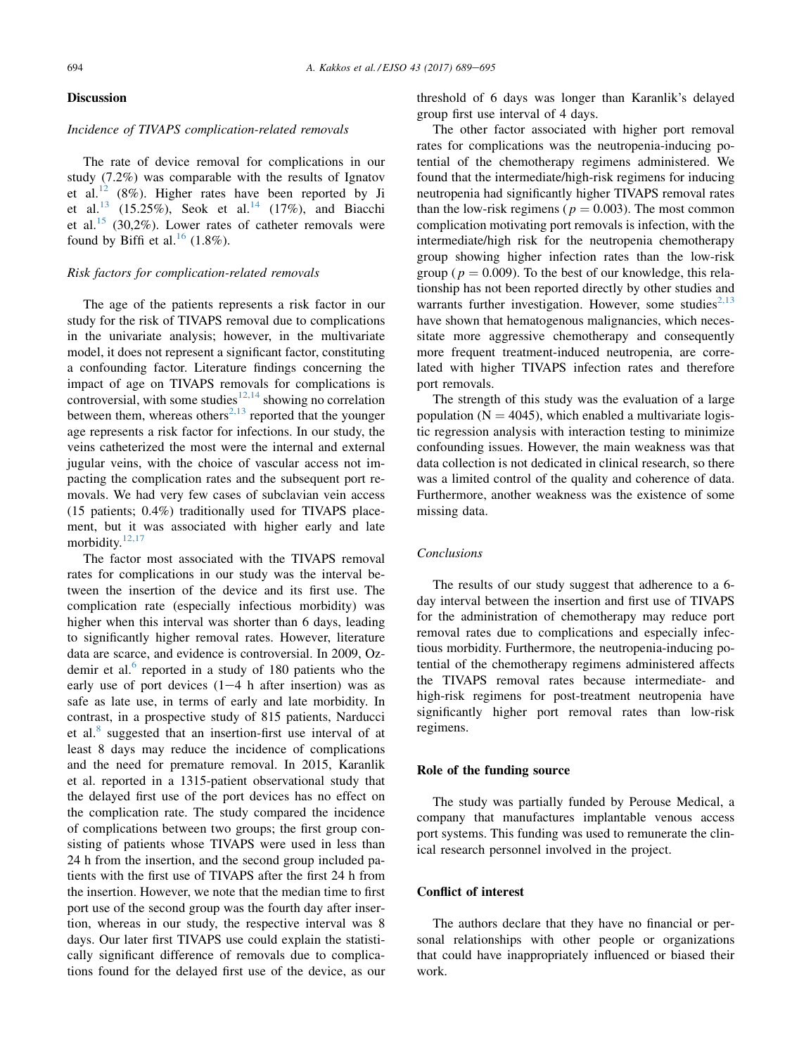## Discussion

## Incidence of TIVAPS complication-related removals

The rate of device removal for complications in our study (7.2%) was comparable with the results of Ignatov et al.<sup>[12](#page-6-0)</sup> (8%). Higher rates have been reported by Ji et al.<sup>[13](#page-6-0)</sup> (15.25%), Seok et al.<sup>[14](#page-6-0)</sup> (17%), and Biacchi et al.<sup>[15](#page-6-0)</sup> (30,2%). Lower rates of catheter removals were found by Biffi et al.<sup>[16](#page-6-0)</sup> (1.8%).

### Risk factors for complication-related removals

The age of the patients represents a risk factor in our study for the risk of TIVAPS removal due to complications in the univariate analysis; however, in the multivariate model, it does not represent a significant factor, constituting a confounding factor. Literature findings concerning the impact of age on TIVAPS removals for complications is controversial, with some studies<sup>[12,14](#page-6-0)</sup> showing no correlation between them, whereas others<sup>2,13</sup> reported that the younger age represents a risk factor for infections. In our study, the veins catheterized the most were the internal and external jugular veins, with the choice of vascular access not impacting the complication rates and the subsequent port removals. We had very few cases of subclavian vein access (15 patients; 0.4%) traditionally used for TIVAPS placement, but it was associated with higher early and late morbidity. $12,17$ 

The factor most associated with the TIVAPS removal rates for complications in our study was the interval between the insertion of the device and its first use. The complication rate (especially infectious morbidity) was higher when this interval was shorter than 6 days, leading to significantly higher removal rates. However, literature data are scarce, and evidence is controversial. In 2009, Ozdemir et al. $<sup>6</sup>$  $<sup>6</sup>$  $<sup>6</sup>$  reported in a study of 180 patients who the</sup> early use of port devices  $(1-4)$  h after insertion) was as safe as late use, in terms of early and late morbidity. In contrast, in a prospective study of 815 patients, Narducci et al.<sup>[8](#page-6-0)</sup> suggested that an insertion-first use interval of at least 8 days may reduce the incidence of complications and the need for premature removal. In 2015, Karanlik et al. reported in a 1315-patient observational study that the delayed first use of the port devices has no effect on the complication rate. The study compared the incidence of complications between two groups; the first group consisting of patients whose TIVAPS were used in less than 24 h from the insertion, and the second group included patients with the first use of TIVAPS after the first 24 h from the insertion. However, we note that the median time to first port use of the second group was the fourth day after insertion, whereas in our study, the respective interval was 8 days. Our later first TIVAPS use could explain the statistically significant difference of removals due to complications found for the delayed first use of the device, as our threshold of 6 days was longer than Karanlik's delayed group first use interval of 4 days.

The other factor associated with higher port removal rates for complications was the neutropenia-inducing potential of the chemotherapy regimens administered. We found that the intermediate/high-risk regimens for inducing neutropenia had significantly higher TIVAPS removal rates than the low-risk regimens ( $p = 0.003$ ). The most common complication motivating port removals is infection, with the intermediate/high risk for the neutropenia chemotherapy group showing higher infection rates than the low-risk group ( $p = 0.009$ ). To the best of our knowledge, this relationship has not been reported directly by other studies and warrants further investigation. However, some studies<sup>[2,13](#page-6-0)</sup> have shown that hematogenous malignancies, which necessitate more aggressive chemotherapy and consequently more frequent treatment-induced neutropenia, are correlated with higher TIVAPS infection rates and therefore port removals.

The strength of this study was the evaluation of a large population ( $N = 4045$ ), which enabled a multivariate logistic regression analysis with interaction testing to minimize confounding issues. However, the main weakness was that data collection is not dedicated in clinical research, so there was a limited control of the quality and coherence of data. Furthermore, another weakness was the existence of some missing data.

## Conclusions

The results of our study suggest that adherence to a 6 day interval between the insertion and first use of TIVAPS for the administration of chemotherapy may reduce port removal rates due to complications and especially infectious morbidity. Furthermore, the neutropenia-inducing potential of the chemotherapy regimens administered affects the TIVAPS removal rates because intermediate- and high-risk regimens for post-treatment neutropenia have significantly higher port removal rates than low-risk regimens.

### Role of the funding source

The study was partially funded by Perouse Medical, a company that manufactures implantable venous access port systems. This funding was used to remunerate the clinical research personnel involved in the project.

## Conflict of interest

The authors declare that they have no financial or personal relationships with other people or organizations that could have inappropriately influenced or biased their work.